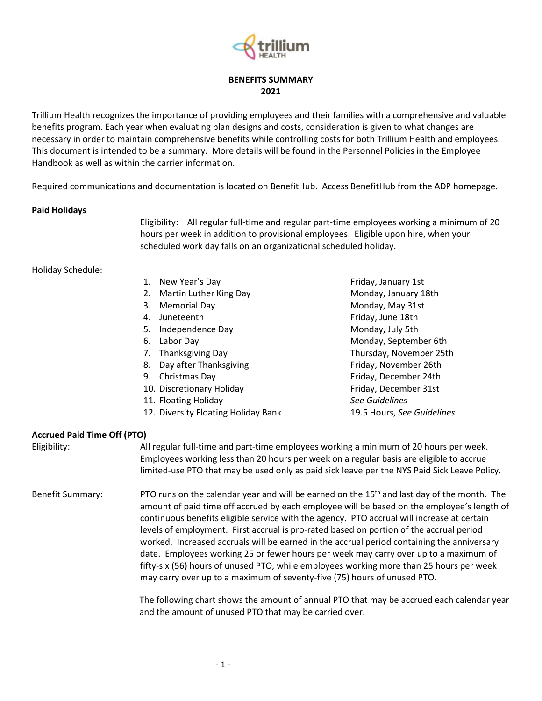

### BENEFITS SUMMARY 2021

Trillium Health recognizes the importance of providing employees and their families with a comprehensive and valuable benefits program. Each year when evaluating plan designs and costs, consideration is given to what changes are necessary in order to maintain comprehensive benefits while controlling costs for both Trillium Health and employees. This document is intended to be a summary. More details will be found in the Personnel Policies in the Employee Handbook as well as within the carrier information.

Required communications and documentation is located on BenefitHub. Access BenefitHub from the ADP homepage.

#### Paid Holidays

 Eligibility: All regular full-time and regular part-time employees working a minimum of 20 hours per week in addition to provisional employees. Eligible upon hire, when your scheduled work day falls on an organizational scheduled holiday.

#### Holiday Schedule:

- 1. New Year's Day **Friday**, January 1st
- 2. Martin Luther King Day Monday, January 18th
- 
- 
- 5. Independence Day Monday, July 5th
- 
- 
- 8. Day after Thanksgiving Friday, November 26th
- 
- 10. Discretionary Holiday **Filter Contains Friday**, December 31st
- 11. Floating Holiday See Guidelines
- 12. Diversity Floating Holiday Bank 19.5 Hours, See Guidelines
- 3. Memorial Day Monday, May 31st 4. Juneteenth Friday, June 18th 6. Labor Day **Monday, September 6th** 7. Thanksgiving Day Thursday, November 25th 9. Christmas Day **Friday**, December 24th

#### Accrued Paid Time Off (PTO)

Eligibility: All regular full-time and part-time employees working a minimum of 20 hours per week. Employees working less than 20 hours per week on a regular basis are eligible to accrue limited-use PTO that may be used only as paid sick leave per the NYS Paid Sick Leave Policy.

# Benefit Summary: PTO runs on the calendar year and will be earned on the 15<sup>th</sup> and last day of the month. The amount of paid time off accrued by each employee will be based on the employee's length of continuous benefits eligible service with the agency. PTO accrual will increase at certain levels of employment. First accrual is pro-rated based on portion of the accrual period worked. Increased accruals will be earned in the accrual period containing the anniversary date. Employees working 25 or fewer hours per week may carry over up to a maximum of fifty-six (56) hours of unused PTO, while employees working more than 25 hours per week may carry over up to a maximum of seventy-five (75) hours of unused PTO.

The following chart shows the amount of annual PTO that may be accrued each calendar year and the amount of unused PTO that may be carried over.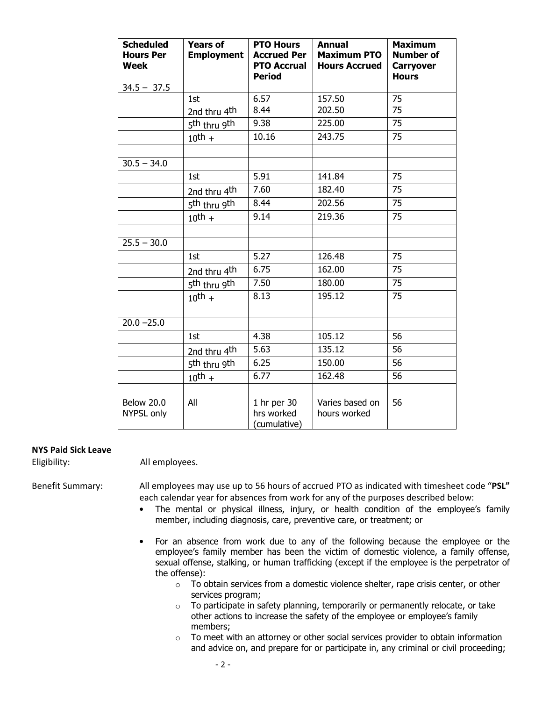| <b>Scheduled</b><br><b>Hours Per</b><br><b>Week</b> | <b>Years of</b><br><b>Employment</b> | <b>PTO Hours</b><br><b>Accrued Per</b><br><b>PTO Accrual</b><br><b>Period</b> | <b>Annual</b><br><b>Maximum PTO</b><br><b>Hours Accrued</b> | <b>Maximum</b><br><b>Number of</b><br><b>Carryover</b><br><b>Hours</b> |
|-----------------------------------------------------|--------------------------------------|-------------------------------------------------------------------------------|-------------------------------------------------------------|------------------------------------------------------------------------|
| $34.5 - 37.5$                                       |                                      |                                                                               |                                                             |                                                                        |
|                                                     | 1st                                  | 6.57                                                                          | 157.50                                                      | 75                                                                     |
|                                                     | 2nd thru 4 <sup>th</sup>             | 8.44                                                                          | 202.50                                                      | $\overline{75}$                                                        |
|                                                     | 5 <sup>th</sup> thru 9 <sup>th</sup> | 9.38                                                                          | 225.00                                                      | 75                                                                     |
|                                                     | $10^{\text{th}} +$                   | 10.16                                                                         | 243.75                                                      | 75                                                                     |
|                                                     |                                      |                                                                               |                                                             |                                                                        |
| $30.5 - 34.0$                                       |                                      |                                                                               |                                                             |                                                                        |
|                                                     | 1st                                  | 5.91                                                                          | 141.84                                                      | 75                                                                     |
|                                                     | 2nd thru 4 <sup>th</sup>             | 7.60                                                                          | 182.40                                                      | 75                                                                     |
|                                                     | 5 <sup>th</sup> thru 9 <sup>th</sup> | 8.44                                                                          | 202.56                                                      | 75                                                                     |
|                                                     | $10^{\text{th}} +$                   | 9.14                                                                          | 219.36                                                      | 75                                                                     |
|                                                     |                                      |                                                                               |                                                             |                                                                        |
| $25.5 - 30.0$                                       |                                      |                                                                               |                                                             |                                                                        |
|                                                     | 1st                                  | 5.27                                                                          | 126.48                                                      | 75                                                                     |
|                                                     | 2nd thru 4th                         | 6.75                                                                          | 162.00                                                      | 75                                                                     |
|                                                     | 5 <sup>th</sup> thru 9 <sup>th</sup> | 7.50                                                                          | 180.00                                                      | 75                                                                     |
|                                                     | $10^{\text{th}} +$                   | 8.13                                                                          | 195.12                                                      | 75                                                                     |
|                                                     |                                      |                                                                               |                                                             |                                                                        |
| $20.0 - 25.0$                                       |                                      |                                                                               |                                                             |                                                                        |
|                                                     | 1st                                  | 4.38                                                                          | 105.12                                                      | 56                                                                     |
|                                                     | 2nd thru 4th                         | 5.63                                                                          | 135.12                                                      | 56                                                                     |
|                                                     | 5th thru 9th                         | 6.25                                                                          | 150.00                                                      | 56                                                                     |
|                                                     | $10^{\text{th}} +$                   | 6.77                                                                          | 162.48                                                      | 56                                                                     |
|                                                     |                                      |                                                                               |                                                             |                                                                        |
| <b>Below 20.0</b><br>NYPSL only                     | All                                  | 1 hr per 30<br>hrs worked<br>(cumulative)                                     | Varies based on<br>hours worked                             | 56                                                                     |

#### NYS Paid Sick Leave

Eligibility: All employees.

Benefit Summary: All employees may use up to 56 hours of accrued PTO as indicated with timesheet code "PSL" each calendar year for absences from work for any of the purposes described below:

- The mental or physical illness, injury, or health condition of the employee's family member, including diagnosis, care, preventive care, or treatment; or
- For an absence from work due to any of the following because the employee or the employee's family member has been the victim of domestic violence, a family offense, sexual offense, stalking, or human trafficking (except if the employee is the perpetrator of the offense):
	- $\circ$  To obtain services from a domestic violence shelter, rape crisis center, or other services program;
	- $\circ$  To participate in safety planning, temporarily or permanently relocate, or take other actions to increase the safety of the employee or employee's family members;
	- $\circ$  To meet with an attorney or other social services provider to obtain information and advice on, and prepare for or participate in, any criminal or civil proceeding;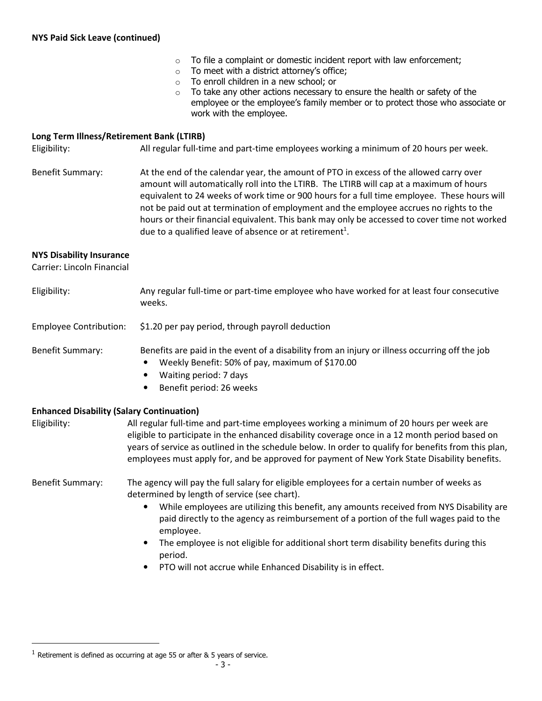- $\circ$  To file a complaint or domestic incident report with law enforcement;
- $\circ$  To meet with a district attorney's office;
- o To enroll children in a new school; or
- $\circ$  To take any other actions necessary to ensure the health or safety of the employee or the employee's family member or to protect those who associate or work with the employee.

#### Long Term Illness/Retirement Bank (LTIRB)

Eligibility: All regular full-time and part-time employees working a minimum of 20 hours per week.

Benefit Summary: At the end of the calendar year, the amount of PTO in excess of the allowed carry over amount will automatically roll into the LTIRB. The LTIRB will cap at a maximum of hours equivalent to 24 weeks of work time or 900 hours for a full time employee. These hours will not be paid out at termination of employment and the employee accrues no rights to the hours or their financial equivalent. This bank may only be accessed to cover time not worked due to a qualified leave of absence or at retirement<sup>1</sup>.

#### NYS Disability Insurance

Carrier: Lincoln Financial

| Eligibility:                                                     | Any regular full-time or part-time employee who have worked for at least four consecutive<br>weeks.                                                                                                                                                                                                                                                                                                                                                                                                                                                |  |
|------------------------------------------------------------------|----------------------------------------------------------------------------------------------------------------------------------------------------------------------------------------------------------------------------------------------------------------------------------------------------------------------------------------------------------------------------------------------------------------------------------------------------------------------------------------------------------------------------------------------------|--|
| <b>Employee Contribution:</b>                                    | \$1.20 per pay period, through payroll deduction                                                                                                                                                                                                                                                                                                                                                                                                                                                                                                   |  |
| <b>Benefit Summary:</b>                                          | Benefits are paid in the event of a disability from an injury or illness occurring off the job<br>Weekly Benefit: 50% of pay, maximum of \$170.00<br>Waiting period: 7 days<br>$\bullet$<br>Benefit period: 26 weeks                                                                                                                                                                                                                                                                                                                               |  |
| <b>Enhanced Disability (Salary Continuation)</b><br>Eligibility: | All regular full-time and part-time employees working a minimum of 20 hours per week are<br>eligible to participate in the enhanced disability coverage once in a 12 month period based on<br>years of service as outlined in the schedule below. In order to qualify for benefits from this plan,<br>employees must apply for, and be approved for payment of New York State Disability benefits.                                                                                                                                                 |  |
| Benefit Summary:                                                 | The agency will pay the full salary for eligible employees for a certain number of weeks as<br>determined by length of service (see chart).<br>While employees are utilizing this benefit, any amounts received from NYS Disability are<br>$\bullet$<br>paid directly to the agency as reimbursement of a portion of the full wages paid to the<br>employee.<br>The employee is not eligible for additional short term disability benefits during this<br>$\bullet$<br>period.<br>PTO will not accrue while Enhanced Disability is in effect.<br>٠ |  |

 $\overline{a}$ 

 $1$  Retirement is defined as occurring at age 55 or after & 5 years of service.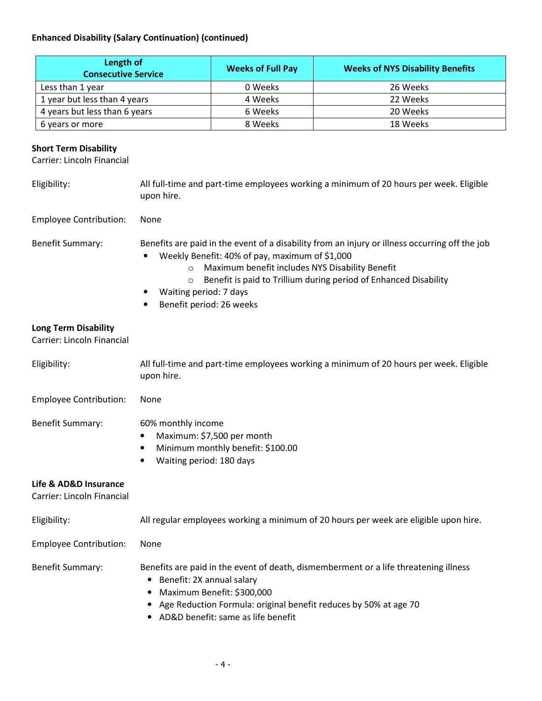# Enhanced Disability (Salary Continuation) (continued)

| Length of<br><b>Consecutive Service</b> | <b>Weeks of Full Pay</b> | <b>Weeks of NYS Disability Benefits</b> |
|-----------------------------------------|--------------------------|-----------------------------------------|
| Less than 1 year                        | 0 Weeks                  | 26 Weeks                                |
| 1 year but less than 4 years            | 4 Weeks                  | 22 Weeks                                |
| 4 years but less than 6 years           | 6 Weeks                  | 20 Weeks                                |
| 6 years or more                         | 8 Weeks                  | 18 Weeks                                |

# Short Term Disability

Carrier: Lincoln Financial

| Eligibility:                                              | All full-time and part-time employees working a minimum of 20 hours per week. Eligible<br>upon hire.                                                                                                                                                                                                                                                             |  |
|-----------------------------------------------------------|------------------------------------------------------------------------------------------------------------------------------------------------------------------------------------------------------------------------------------------------------------------------------------------------------------------------------------------------------------------|--|
| <b>Employee Contribution:</b>                             | None                                                                                                                                                                                                                                                                                                                                                             |  |
| Benefit Summary:                                          | Benefits are paid in the event of a disability from an injury or illness occurring off the job<br>Weekly Benefit: 40% of pay, maximum of \$1,000<br>Maximum benefit includes NYS Disability Benefit<br>$\circ$<br>Benefit is paid to Trillium during period of Enhanced Disability<br>$\circ$<br>Waiting period: 7 days<br>Benefit period: 26 weeks<br>$\bullet$ |  |
| <b>Long Term Disability</b><br>Carrier: Lincoln Financial |                                                                                                                                                                                                                                                                                                                                                                  |  |
| Eligibility:                                              | All full-time and part-time employees working a minimum of 20 hours per week. Eligible<br>upon hire.                                                                                                                                                                                                                                                             |  |
| <b>Employee Contribution:</b>                             | None                                                                                                                                                                                                                                                                                                                                                             |  |
| Benefit Summary:                                          | 60% monthly income<br>Maximum: \$7,500 per month<br>$\bullet$<br>Minimum monthly benefit: \$100.00<br>$\bullet$<br>Waiting period: 180 days<br>٠                                                                                                                                                                                                                 |  |
| Life & AD&D Insurance<br>Carrier: Lincoln Financial       |                                                                                                                                                                                                                                                                                                                                                                  |  |
| Eligibility:                                              | All regular employees working a minimum of 20 hours per week are eligible upon hire.                                                                                                                                                                                                                                                                             |  |
| <b>Employee Contribution:</b>                             | None                                                                                                                                                                                                                                                                                                                                                             |  |
| Benefit Summary:                                          | Benefits are paid in the event of death, dismemberment or a life threatening illness<br>• Benefit: 2X annual salary<br>Maximum Benefit: \$300,000<br>$\bullet$<br>• Age Reduction Formula: original benefit reduces by 50% at age 70<br>• AD&D benefit: same as life benefit                                                                                     |  |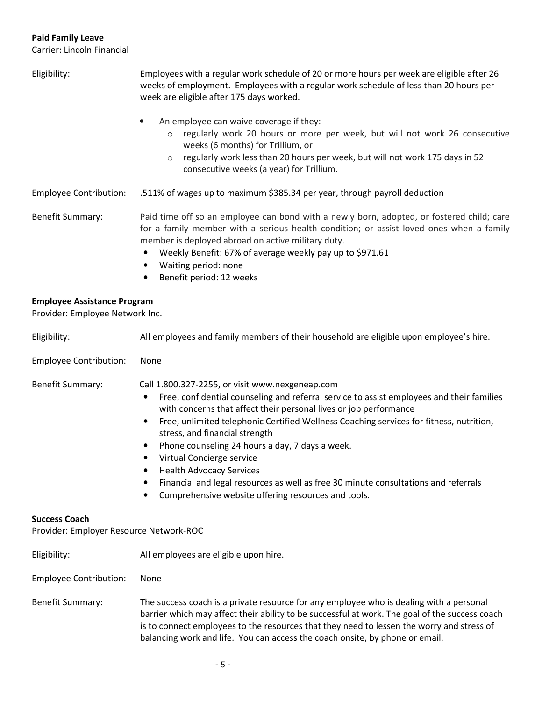# Paid Family Leave

Carrier: Lincoln Financial

| Eligibility:                                                          | Employees with a regular work schedule of 20 or more hours per week are eligible after 26<br>weeks of employment. Employees with a regular work schedule of less than 20 hours per<br>week are eligible after 175 days worked.                                                                                                                                                                                                                                                                                                                                                                                                            |  |  |  |
|-----------------------------------------------------------------------|-------------------------------------------------------------------------------------------------------------------------------------------------------------------------------------------------------------------------------------------------------------------------------------------------------------------------------------------------------------------------------------------------------------------------------------------------------------------------------------------------------------------------------------------------------------------------------------------------------------------------------------------|--|--|--|
|                                                                       | An employee can waive coverage if they:<br>regularly work 20 hours or more per week, but will not work 26 consecutive<br>$\circ$<br>weeks (6 months) for Trillium, or<br>regularly work less than 20 hours per week, but will not work 175 days in 52<br>$\circ$<br>consecutive weeks (a year) for Trillium.                                                                                                                                                                                                                                                                                                                              |  |  |  |
| <b>Employee Contribution:</b>                                         | .511% of wages up to maximum \$385.34 per year, through payroll deduction                                                                                                                                                                                                                                                                                                                                                                                                                                                                                                                                                                 |  |  |  |
| <b>Benefit Summary:</b>                                               | Paid time off so an employee can bond with a newly born, adopted, or fostered child; care<br>for a family member with a serious health condition; or assist loved ones when a family<br>member is deployed abroad on active military duty.<br>Weekly Benefit: 67% of average weekly pay up to \$971.61<br>Waiting period: none<br>Benefit period: 12 weeks                                                                                                                                                                                                                                                                                |  |  |  |
| <b>Employee Assistance Program</b><br>Provider: Employee Network Inc. |                                                                                                                                                                                                                                                                                                                                                                                                                                                                                                                                                                                                                                           |  |  |  |
| Eligibility:                                                          | All employees and family members of their household are eligible upon employee's hire.                                                                                                                                                                                                                                                                                                                                                                                                                                                                                                                                                    |  |  |  |
| <b>Employee Contribution:</b>                                         | None                                                                                                                                                                                                                                                                                                                                                                                                                                                                                                                                                                                                                                      |  |  |  |
| <b>Benefit Summary:</b>                                               | Call 1.800.327-2255, or visit www.nexgeneap.com<br>Free, confidential counseling and referral service to assist employees and their families<br>$\bullet$<br>with concerns that affect their personal lives or job performance<br>Free, unlimited telephonic Certified Wellness Coaching services for fitness, nutrition,<br>$\bullet$<br>stress, and financial strength<br>Phone counseling 24 hours a day, 7 days a week.<br>Virtual Concierge service<br><b>Health Advocacy Services</b><br>Financial and legal resources as well as free 30 minute consultations and referrals<br>Comprehensive website offering resources and tools. |  |  |  |
| <b>Success Coach</b><br>Provider: Employer Resource Network-ROC       |                                                                                                                                                                                                                                                                                                                                                                                                                                                                                                                                                                                                                                           |  |  |  |
| Eligibility:                                                          | All employees are eligible upon hire.                                                                                                                                                                                                                                                                                                                                                                                                                                                                                                                                                                                                     |  |  |  |
| <b>Employee Contribution:</b>                                         | None                                                                                                                                                                                                                                                                                                                                                                                                                                                                                                                                                                                                                                      |  |  |  |
| Benefit Summary:                                                      | The success coach is a private resource for any employee who is dealing with a personal<br>barrier which may affect their ability to be successful at work. The goal of the success coach<br>is to connect employees to the resources that they need to lessen the worry and stress of<br>balancing work and life. You can access the coach onsite, by phone or email.                                                                                                                                                                                                                                                                    |  |  |  |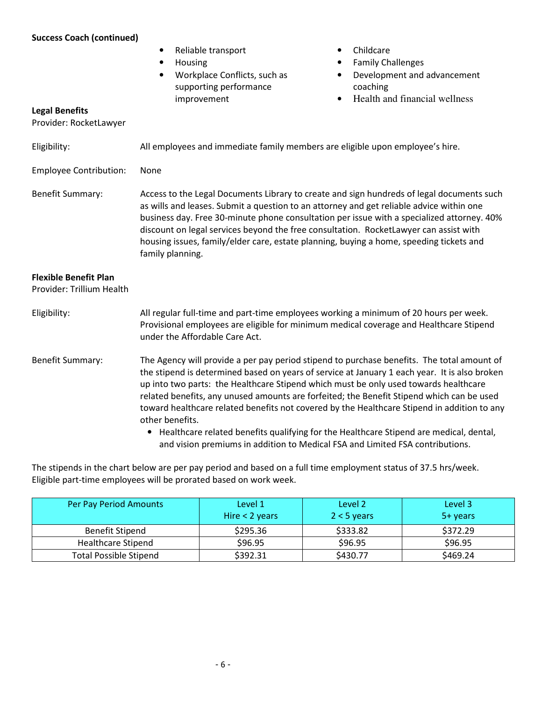## Success Coach (continued)

|                                                           | Reliable transport<br>$\bullet$<br>Housing<br>٠<br>Workplace Conflicts, such as<br>$\bullet$<br>supporting performance<br>improvement                                                                                                                                                                                                                                                                                                                                                       | Childcare<br>$\bullet$<br><b>Family Challenges</b><br>٠<br>Development and advancement<br>$\bullet$<br>coaching<br>Health and financial wellness<br>$\bullet$                                                                                                                                                                                                                                                                                                                                                                                                                                                                                                |  |
|-----------------------------------------------------------|---------------------------------------------------------------------------------------------------------------------------------------------------------------------------------------------------------------------------------------------------------------------------------------------------------------------------------------------------------------------------------------------------------------------------------------------------------------------------------------------|--------------------------------------------------------------------------------------------------------------------------------------------------------------------------------------------------------------------------------------------------------------------------------------------------------------------------------------------------------------------------------------------------------------------------------------------------------------------------------------------------------------------------------------------------------------------------------------------------------------------------------------------------------------|--|
| <b>Legal Benefits</b><br>Provider: RocketLawyer           |                                                                                                                                                                                                                                                                                                                                                                                                                                                                                             |                                                                                                                                                                                                                                                                                                                                                                                                                                                                                                                                                                                                                                                              |  |
| Eligibility:                                              | All employees and immediate family members are eligible upon employee's hire.                                                                                                                                                                                                                                                                                                                                                                                                               |                                                                                                                                                                                                                                                                                                                                                                                                                                                                                                                                                                                                                                                              |  |
| <b>Employee Contribution:</b>                             | None                                                                                                                                                                                                                                                                                                                                                                                                                                                                                        |                                                                                                                                                                                                                                                                                                                                                                                                                                                                                                                                                                                                                                                              |  |
| <b>Benefit Summary:</b>                                   | Access to the Legal Documents Library to create and sign hundreds of legal documents such<br>as wills and leases. Submit a question to an attorney and get reliable advice within one<br>business day. Free 30-minute phone consultation per issue with a specialized attorney. 40%<br>discount on legal services beyond the free consultation. RocketLawyer can assist with<br>housing issues, family/elder care, estate planning, buying a home, speeding tickets and<br>family planning. |                                                                                                                                                                                                                                                                                                                                                                                                                                                                                                                                                                                                                                                              |  |
| <b>Flexible Benefit Plan</b><br>Provider: Trillium Health |                                                                                                                                                                                                                                                                                                                                                                                                                                                                                             |                                                                                                                                                                                                                                                                                                                                                                                                                                                                                                                                                                                                                                                              |  |
| Eligibility:                                              | All regular full-time and part-time employees working a minimum of 20 hours per week.<br>Provisional employees are eligible for minimum medical coverage and Healthcare Stipend<br>under the Affordable Care Act.                                                                                                                                                                                                                                                                           |                                                                                                                                                                                                                                                                                                                                                                                                                                                                                                                                                                                                                                                              |  |
| <b>Benefit Summary:</b>                                   | other benefits.                                                                                                                                                                                                                                                                                                                                                                                                                                                                             | The Agency will provide a per pay period stipend to purchase benefits. The total amount of<br>the stipend is determined based on years of service at January 1 each year. It is also broken<br>up into two parts: the Healthcare Stipend which must be only used towards healthcare<br>related benefits, any unused amounts are forfeited; the Benefit Stipend which can be used<br>toward healthcare related benefits not covered by the Healthcare Stipend in addition to any<br>• Healthcare related benefits qualifying for the Healthcare Stipend are medical, dental,<br>and vision premiums in addition to Medical FSA and Limited FSA contributions. |  |

The stipends in the chart below are per pay period and based on a full time employment status of 37.5 hrs/week. Eligible part-time employees will be prorated based on work week.

| Per Pay Period Amounts        | Level 1<br>Hire $<$ 2 years | Level 2<br>$2 < 5$ years | Level 3<br>5+ years |
|-------------------------------|-----------------------------|--------------------------|---------------------|
| Benefit Stipend               | \$295.36                    | \$333.82                 | \$372.29            |
| <b>Healthcare Stipend</b>     | \$96.95                     | \$96.95                  | \$96.95             |
| <b>Total Possible Stipend</b> | \$392.31                    | \$430.77                 | \$469.24            |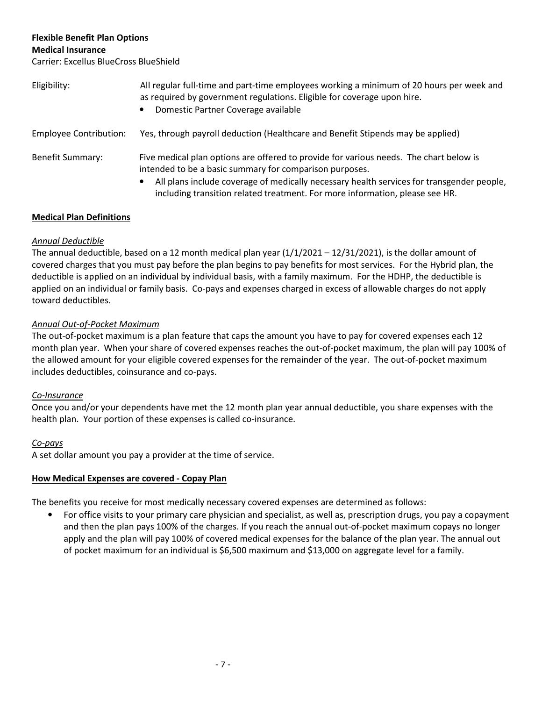# Flexible Benefit Plan Options

Medical Insurance

Carrier: Excellus BlueCross BlueShield

| Eligibility:                  | All regular full-time and part-time employees working a minimum of 20 hours per week and<br>as required by government regulations. Eligible for coverage upon hire.<br>Domestic Partner Coverage available                                                                                                                     |
|-------------------------------|--------------------------------------------------------------------------------------------------------------------------------------------------------------------------------------------------------------------------------------------------------------------------------------------------------------------------------|
| <b>Employee Contribution:</b> | Yes, through payroll deduction (Healthcare and Benefit Stipends may be applied)                                                                                                                                                                                                                                                |
| <b>Benefit Summary:</b>       | Five medical plan options are offered to provide for various needs. The chart below is<br>intended to be a basic summary for comparison purposes.<br>All plans include coverage of medically necessary health services for transgender people,<br>including transition related treatment. For more information, please see HR. |

# Medical Plan Definitions

# Annual Deductible

The annual deductible, based on a 12 month medical plan year (1/1/2021 – 12/31/2021), is the dollar amount of covered charges that you must pay before the plan begins to pay benefits for most services. For the Hybrid plan, the deductible is applied on an individual by individual basis, with a family maximum. For the HDHP, the deductible is applied on an individual or family basis. Co-pays and expenses charged in excess of allowable charges do not apply toward deductibles.

# Annual Out-of-Pocket Maximum

The out-of-pocket maximum is a plan feature that caps the amount you have to pay for covered expenses each 12 month plan year. When your share of covered expenses reaches the out-of-pocket maximum, the plan will pay 100% of the allowed amount for your eligible covered expenses for the remainder of the year. The out-of-pocket maximum includes deductibles, coinsurance and co-pays.

# Co-Insurance

Once you and/or your dependents have met the 12 month plan year annual deductible, you share expenses with the health plan. Your portion of these expenses is called co-insurance.

# Co-pays

A set dollar amount you pay a provider at the time of service.

# How Medical Expenses are covered - Copay Plan

The benefits you receive for most medically necessary covered expenses are determined as follows:

• For office visits to your primary care physician and specialist, as well as, prescription drugs, you pay a copayment and then the plan pays 100% of the charges. If you reach the annual out-of-pocket maximum copays no longer apply and the plan will pay 100% of covered medical expenses for the balance of the plan year. The annual out of pocket maximum for an individual is \$6,500 maximum and \$13,000 on aggregate level for a family.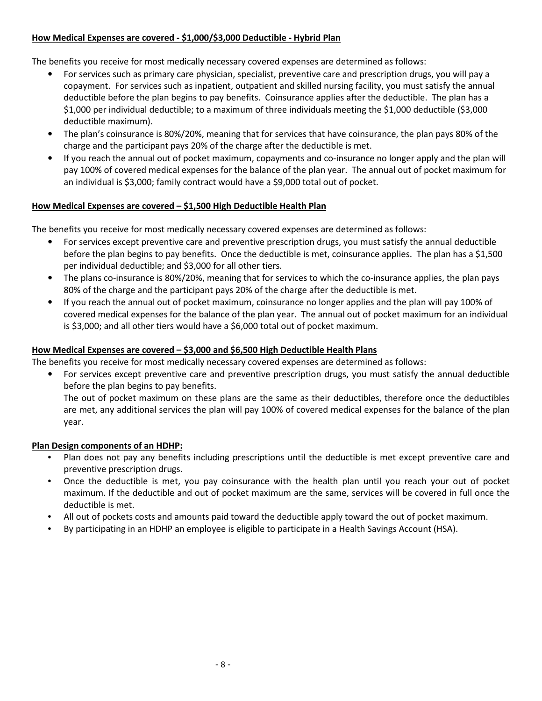## How Medical Expenses are covered - \$1,000/\$3,000 Deductible - Hybrid Plan

The benefits you receive for most medically necessary covered expenses are determined as follows:

- For services such as primary care physician, specialist, preventive care and prescription drugs, you will pay a copayment. For services such as inpatient, outpatient and skilled nursing facility, you must satisfy the annual deductible before the plan begins to pay benefits. Coinsurance applies after the deductible. The plan has a \$1,000 per individual deductible; to a maximum of three individuals meeting the \$1,000 deductible (\$3,000 deductible maximum).
- The plan's coinsurance is 80%/20%, meaning that for services that have coinsurance, the plan pays 80% of the charge and the participant pays 20% of the charge after the deductible is met.
- If you reach the annual out of pocket maximum, copayments and co-insurance no longer apply and the plan will pay 100% of covered medical expenses for the balance of the plan year. The annual out of pocket maximum for an individual is \$3,000; family contract would have a \$9,000 total out of pocket.

## How Medical Expenses are covered - \$1,500 High Deductible Health Plan

The benefits you receive for most medically necessary covered expenses are determined as follows:

- For services except preventive care and preventive prescription drugs, you must satisfy the annual deductible before the plan begins to pay benefits. Once the deductible is met, coinsurance applies. The plan has a \$1,500 per individual deductible; and \$3,000 for all other tiers.
- The plans co-insurance is 80%/20%, meaning that for services to which the co-insurance applies, the plan pays 80% of the charge and the participant pays 20% of the charge after the deductible is met.
- If you reach the annual out of pocket maximum, coinsurance no longer applies and the plan will pay 100% of covered medical expenses for the balance of the plan year. The annual out of pocket maximum for an individual is \$3,000; and all other tiers would have a \$6,000 total out of pocket maximum.

## How Medical Expenses are covered – \$3,000 and \$6,500 High Deductible Health Plans

The benefits you receive for most medically necessary covered expenses are determined as follows:

• For services except preventive care and preventive prescription drugs, you must satisfy the annual deductible before the plan begins to pay benefits.

The out of pocket maximum on these plans are the same as their deductibles, therefore once the deductibles are met, any additional services the plan will pay 100% of covered medical expenses for the balance of the plan year.

#### Plan Design components of an HDHP:

- Plan does not pay any benefits including prescriptions until the deductible is met except preventive care and preventive prescription drugs.
- Once the deductible is met, you pay coinsurance with the health plan until you reach your out of pocket maximum. If the deductible and out of pocket maximum are the same, services will be covered in full once the deductible is met.
- All out of pockets costs and amounts paid toward the deductible apply toward the out of pocket maximum.
- By participating in an HDHP an employee is eligible to participate in a Health Savings Account (HSA).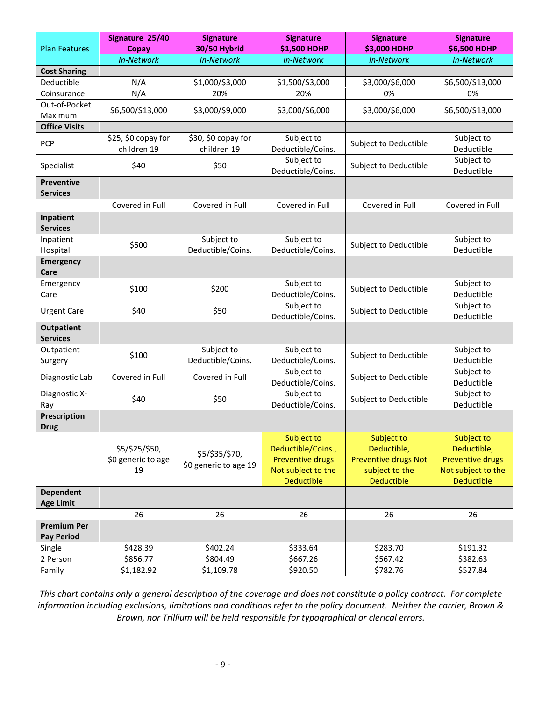| <b>Plan Features</b>                    | Signature 25/40                            | <b>Signature</b>                        | <b>Signature</b><br>\$1,500 HDHP                                                                       | <b>Signature</b><br>\$3,000 HDHP                                                                | <b>Signature</b><br>\$6,500 HDHP                                                                |
|-----------------------------------------|--------------------------------------------|-----------------------------------------|--------------------------------------------------------------------------------------------------------|-------------------------------------------------------------------------------------------------|-------------------------------------------------------------------------------------------------|
|                                         | Copay<br><b>In-Network</b>                 | 30/50 Hybrid<br>In-Network              | <b>In-Network</b>                                                                                      | <b>In-Network</b>                                                                               | In-Network                                                                                      |
| <b>Cost Sharing</b>                     |                                            |                                         |                                                                                                        |                                                                                                 |                                                                                                 |
| Deductible                              | N/A                                        | \$1,000/\$3,000                         | \$1,500/\$3,000                                                                                        | \$3,000/\$6,000                                                                                 | \$6,500/\$13,000                                                                                |
| Coinsurance                             | N/A                                        | 20%                                     | 20%                                                                                                    | 0%                                                                                              | 0%                                                                                              |
| Out-of-Pocket                           |                                            |                                         |                                                                                                        |                                                                                                 |                                                                                                 |
| Maximum                                 | \$6,500/\$13,000                           | \$3,000/\$9,000                         | \$3,000/\$6,000                                                                                        | \$3,000/\$6,000                                                                                 | \$6,500/\$13,000                                                                                |
| <b>Office Visits</b>                    |                                            |                                         |                                                                                                        |                                                                                                 |                                                                                                 |
| PCP                                     | \$25, \$0 copay for<br>children 19         | \$30, \$0 copay for<br>children 19      | Subject to<br>Deductible/Coins.                                                                        | Subject to Deductible                                                                           | Subject to<br>Deductible                                                                        |
| Specialist                              | \$40                                       | \$50                                    | Subject to<br>Deductible/Coins.                                                                        | Subject to Deductible                                                                           | Subject to<br>Deductible                                                                        |
| <b>Preventive</b><br><b>Services</b>    |                                            |                                         |                                                                                                        |                                                                                                 |                                                                                                 |
|                                         | Covered in Full                            | Covered in Full                         | Covered in Full                                                                                        | Covered in Full                                                                                 | Covered in Full                                                                                 |
| Inpatient<br><b>Services</b>            |                                            |                                         |                                                                                                        |                                                                                                 |                                                                                                 |
| Inpatient<br>Hospital                   | \$500                                      | Subject to<br>Deductible/Coins.         | Subject to<br>Deductible/Coins.                                                                        | Subject to Deductible                                                                           | Subject to<br>Deductible                                                                        |
| <b>Emergency</b><br>Care                |                                            |                                         |                                                                                                        |                                                                                                 |                                                                                                 |
| Emergency<br>Care                       | \$100                                      | \$200                                   | Subject to<br>Deductible/Coins.                                                                        | Subject to Deductible                                                                           | Subject to<br>Deductible                                                                        |
| <b>Urgent Care</b>                      | \$40                                       | \$50                                    | Subject to<br>Deductible/Coins.                                                                        | Subject to Deductible                                                                           | Subject to<br>Deductible                                                                        |
| <b>Outpatient</b><br><b>Services</b>    |                                            |                                         |                                                                                                        |                                                                                                 |                                                                                                 |
| Outpatient<br>Surgery                   | \$100                                      | Subject to<br>Deductible/Coins.         | Subject to<br>Deductible/Coins.                                                                        | Subject to Deductible                                                                           | Subject to<br>Deductible                                                                        |
| Diagnostic Lab                          | Covered in Full                            | Covered in Full                         | Subject to<br>Deductible/Coins.                                                                        | Subject to Deductible                                                                           | Subject to<br>Deductible                                                                        |
| Diagnostic X-<br>Ray                    | \$40                                       | \$50                                    | Subject to<br>Deductible/Coins.                                                                        | Subject to Deductible                                                                           | Subject to<br>Deductible                                                                        |
| Prescription<br><b>Drug</b>             |                                            |                                         |                                                                                                        |                                                                                                 |                                                                                                 |
|                                         | \$5/\$25/\$50,<br>\$0 generic to age<br>19 | \$5/\$35/\$70,<br>\$0 generic to age 19 | Subject to<br>Deductible/Coins.,<br><b>Preventive drugs</b><br>Not subject to the<br><b>Deductible</b> | Subject to<br>Deductible,<br><b>Preventive drugs Not</b><br>subject to the<br><b>Deductible</b> | Subject to<br>Deductible,<br><b>Preventive drugs</b><br>Not subject to the<br><b>Deductible</b> |
| <b>Dependent</b><br><b>Age Limit</b>    |                                            |                                         |                                                                                                        |                                                                                                 |                                                                                                 |
|                                         | 26                                         | 26                                      | 26                                                                                                     | 26                                                                                              | 26                                                                                              |
| <b>Premium Per</b><br><b>Pay Period</b> |                                            |                                         |                                                                                                        |                                                                                                 |                                                                                                 |
| Single                                  | \$428.39                                   | \$402.24                                | \$333.64                                                                                               | \$283.70                                                                                        | \$191.32                                                                                        |
| 2 Person                                | \$856.77                                   | \$804.49                                | \$667.26                                                                                               | \$567.42                                                                                        | \$382.63                                                                                        |
| Family                                  | \$1,182.92                                 | \$1,109.78                              | \$920.50                                                                                               | \$782.76                                                                                        | \$527.84                                                                                        |

This chart contains only a general description of the coverage and does not constitute a policy contract. For complete information including exclusions, limitations and conditions refer to the policy document. Neither the carrier, Brown & Brown, nor Trillium will be held responsible for typographical or clerical errors.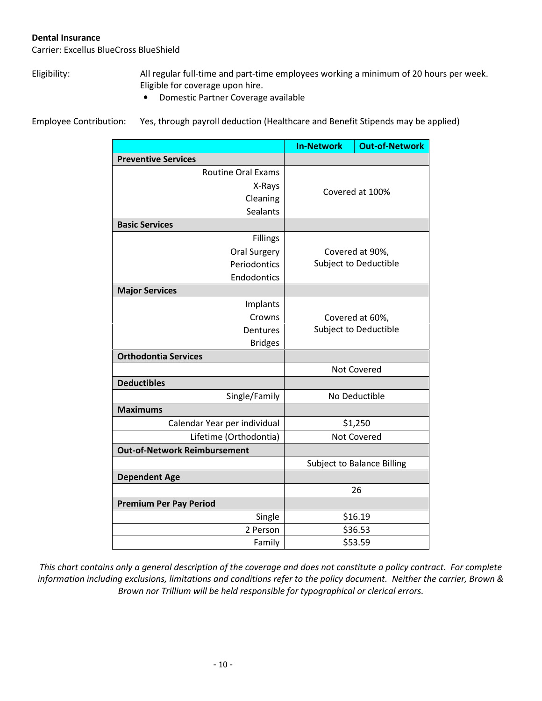#### Dental Insurance

Carrier: Excellus BlueCross BlueShield

Eligibility: All regular full-time and part-time employees working a minimum of 20 hours per week. Eligible for coverage upon hire.

• Domestic Partner Coverage available

Employee Contribution: Yes, through payroll deduction (Healthcare and Benefit Stipends may be applied)

|                                     | <b>In-Network</b>     | <b>Out-of-Network</b>             |
|-------------------------------------|-----------------------|-----------------------------------|
| <b>Preventive Services</b>          |                       |                                   |
| <b>Routine Oral Exams</b>           |                       |                                   |
| X-Rays                              | Covered at 100%       |                                   |
| Cleaning                            |                       |                                   |
| <b>Sealants</b>                     |                       |                                   |
| <b>Basic Services</b>               |                       |                                   |
| Fillings                            |                       |                                   |
| <b>Oral Surgery</b>                 |                       | Covered at 90%,                   |
| Periodontics                        |                       | Subject to Deductible             |
| Endodontics                         |                       |                                   |
| <b>Major Services</b>               |                       |                                   |
| Implants                            |                       |                                   |
| Crowns                              |                       | Covered at 60%,                   |
| Dentures                            | Subject to Deductible |                                   |
| <b>Bridges</b>                      |                       |                                   |
| <b>Orthodontia Services</b>         |                       |                                   |
|                                     |                       | <b>Not Covered</b>                |
| <b>Deductibles</b>                  |                       |                                   |
| Single/Family                       | No Deductible         |                                   |
| <b>Maximums</b>                     |                       |                                   |
| Calendar Year per individual        | \$1,250               |                                   |
| Lifetime (Orthodontia)              | <b>Not Covered</b>    |                                   |
| <b>Out-of-Network Reimbursement</b> |                       |                                   |
|                                     |                       | <b>Subject to Balance Billing</b> |
| <b>Dependent Age</b>                |                       |                                   |
|                                     |                       | 26                                |
| <b>Premium Per Pay Period</b>       |                       |                                   |
| Single                              |                       | \$16.19                           |
| 2 Person                            |                       | \$36.53                           |
| Family                              |                       | \$53.59                           |

This chart contains only a general description of the coverage and does not constitute a policy contract. For complete information including exclusions, limitations and conditions refer to the policy document. Neither the carrier, Brown & Brown nor Trillium will be held responsible for typographical or clerical errors.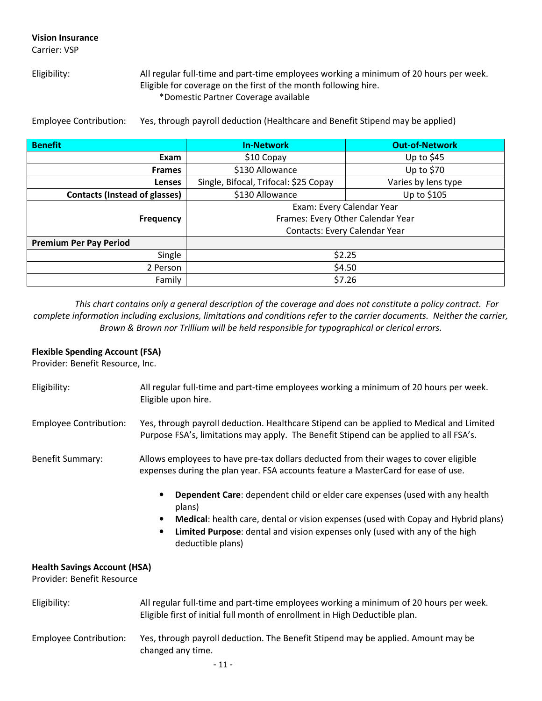# Vision Insurance

Carrier: VSP

Eligibility: All regular full-time and part-time employees working a minimum of 20 hours per week. Eligible for coverage on the first of the month following hire. \*Domestic Partner Coverage available

Employee Contribution: Yes, through payroll deduction (Healthcare and Benefit Stipend may be applied)

| <b>Benefit</b>                       | <b>In-Network</b>                     | <b>Out-of-Network</b> |
|--------------------------------------|---------------------------------------|-----------------------|
| Exam                                 | \$10 Copay                            | Up to $$45$           |
| <b>Frames</b>                        | \$130 Allowance                       | Up to $$70$           |
| Lenses                               | Single, Bifocal, Trifocal: \$25 Copay | Varies by lens type   |
| <b>Contacts (Instead of glasses)</b> | \$130 Allowance                       | Up to \$105           |
|                                      | Exam: Every Calendar Year             |                       |
| <b>Frequency</b>                     | Frames: Every Other Calendar Year     |                       |
|                                      | Contacts: Every Calendar Year         |                       |
| <b>Premium Per Pay Period</b>        |                                       |                       |
| Single                               | \$2.25                                |                       |
| 2 Person                             | \$4.50                                |                       |
| Family                               | \$7.26                                |                       |

This chart contains only a general description of the coverage and does not constitute a policy contract. For complete information including exclusions, limitations and conditions refer to the carrier documents. Neither the carrier, Brown & Brown nor Trillium will be held responsible for typographical or clerical errors.

# Flexible Spending Account (FSA)

Provider: Benefit Resource, Inc.

| Eligibility:                                                      | All regular full-time and part-time employees working a minimum of 20 hours per week.<br>Eligible upon hire.                                                                                                                                                                                               |  |  |
|-------------------------------------------------------------------|------------------------------------------------------------------------------------------------------------------------------------------------------------------------------------------------------------------------------------------------------------------------------------------------------------|--|--|
| <b>Employee Contribution:</b>                                     | Yes, through payroll deduction. Healthcare Stipend can be applied to Medical and Limited<br>Purpose FSA's, limitations may apply. The Benefit Stipend can be applied to all FSA's.                                                                                                                         |  |  |
| <b>Benefit Summary:</b>                                           | Allows employees to have pre-tax dollars deducted from their wages to cover eligible<br>expenses during the plan year. FSA accounts feature a MasterCard for ease of use.                                                                                                                                  |  |  |
|                                                                   | Dependent Care: dependent child or elder care expenses (used with any health<br>plans)<br>Medical: health care, dental or vision expenses (used with Copay and Hybrid plans)<br>$\bullet$<br>Limited Purpose: dental and vision expenses only (used with any of the high<br>$\bullet$<br>deductible plans) |  |  |
| <b>Health Savings Account (HSA)</b><br>Provider: Benefit Resource |                                                                                                                                                                                                                                                                                                            |  |  |
| Eligibility:                                                      | All regular full-time and part-time employees working a minimum of 20 hours per week.<br>Eligible first of initial full month of enrollment in High Deductible plan.                                                                                                                                       |  |  |
| <b>Employee Contribution:</b>                                     | Yes, through payroll deduction. The Benefit Stipend may be applied. Amount may be<br>changed any time.                                                                                                                                                                                                     |  |  |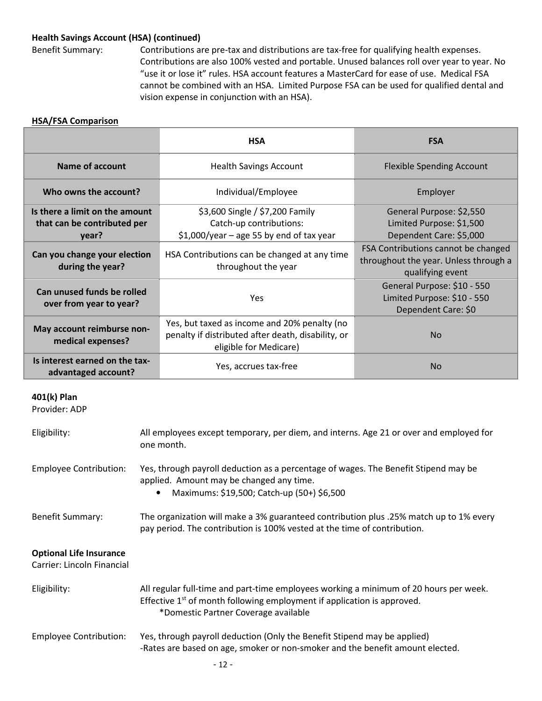### Health Savings Account (HSA) (continued)

Benefit Summary: Contributions are pre-tax and distributions are tax-free for qualifying health expenses. Contributions are also 100% vested and portable. Unused balances roll over year to year. No "use it or lose it" rules. HSA account features a MasterCard for ease of use. Medical FSA cannot be combined with an HSA. Limited Purpose FSA can be used for qualified dental and vision expense in conjunction with an HSA).

# HSA/FSA Comparison

|                                                                        | <b>HSA</b>                                                                                                                   | <b>FSA</b>                                                                                       |
|------------------------------------------------------------------------|------------------------------------------------------------------------------------------------------------------------------|--------------------------------------------------------------------------------------------------|
| Name of account                                                        | <b>Health Savings Account</b>                                                                                                | <b>Flexible Spending Account</b>                                                                 |
| Who owns the account?                                                  | Individual/Employee                                                                                                          | Employer                                                                                         |
| Is there a limit on the amount<br>that can be contributed per<br>year? | \$3,600 Single / \$7,200 Family<br>Catch-up contributions:<br>$$1,000$ /year - age 55 by end of tax year                     | General Purpose: \$2,550<br>Limited Purpose: \$1,500<br>Dependent Care: \$5,000                  |
| Can you change your election<br>during the year?                       | HSA Contributions can be changed at any time<br>throughout the year                                                          | FSA Contributions cannot be changed<br>throughout the year. Unless through a<br>qualifying event |
| Can unused funds be rolled<br>over from year to year?                  | <b>Yes</b>                                                                                                                   | General Purpose: \$10 - 550<br>Limited Purpose: \$10 - 550<br>Dependent Care: \$0                |
| May account reimburse non-<br>medical expenses?                        | Yes, but taxed as income and 20% penalty (no<br>penalty if distributed after death, disability, or<br>eligible for Medicare) | <b>No</b>                                                                                        |
| Is interest earned on the tax-<br>advantaged account?                  | Yes, accrues tax-free                                                                                                        | No                                                                                               |

### 401(k) Plan

Provider: ADP

| Eligibility:                                                 | All employees except temporary, per diem, and interns. Age 21 or over and employed for<br>one month.                                                                                                                 |
|--------------------------------------------------------------|----------------------------------------------------------------------------------------------------------------------------------------------------------------------------------------------------------------------|
| <b>Employee Contribution:</b>                                | Yes, through payroll deduction as a percentage of wages. The Benefit Stipend may be<br>applied. Amount may be changed any time.<br>Maximums: \$19,500; Catch-up (50+) \$6,500<br>$\bullet$                           |
| <b>Benefit Summary:</b>                                      | The organization will make a 3% guaranteed contribution plus .25% match up to 1% every<br>pay period. The contribution is 100% vested at the time of contribution.                                                   |
| <b>Optional Life Insurance</b><br>Carrier: Lincoln Financial |                                                                                                                                                                                                                      |
| Eligibility:                                                 | All regular full-time and part-time employees working a minimum of 20 hours per week.<br>Effective 1 <sup>st</sup> of month following employment if application is approved.<br>*Domestic Partner Coverage available |
| <b>Employee Contribution:</b>                                | Yes, through payroll deduction (Only the Benefit Stipend may be applied)<br>-Rates are based on age, smoker or non-smoker and the benefit amount elected.                                                            |
|                                                              | $-12-$                                                                                                                                                                                                               |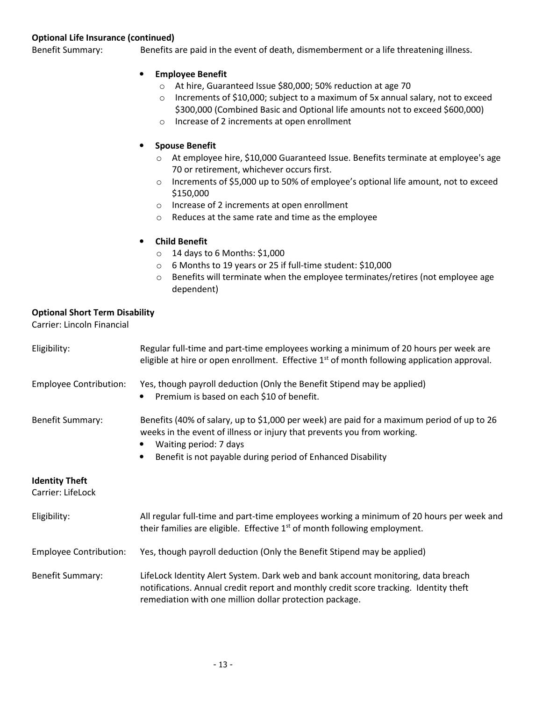#### Optional Life Insurance (continued)

Benefit Summary: Benefits are paid in the event of death, dismemberment or a life threatening illness.

- Employee Benefit
	- o At hire, Guaranteed Issue \$80,000; 50% reduction at age 70
	- o Increments of \$10,000; subject to a maximum of 5x annual salary, not to exceed \$300,000 (Combined Basic and Optional life amounts not to exceed \$600,000)
	- o Increase of 2 increments at open enrollment

#### • Spouse Benefit

- o At employee hire, \$10,000 Guaranteed Issue. Benefits terminate at employee's age 70 or retirement, whichever occurs first.
- o Increments of \$5,000 up to 50% of employee's optional life amount, not to exceed \$150,000
- o Increase of 2 increments at open enrollment
- o Reduces at the same rate and time as the employee

## • Child Benefit

- $\circ$  14 days to 6 Months: \$1,000
- o 6 Months to 19 years or 25 if full-time student: \$10,000
- o Benefits will terminate when the employee terminates/retires (not employee age dependent)

## Optional Short Term Disability

Carrier: Lincoln Financial

| Eligibility:                               | Regular full-time and part-time employees working a minimum of 20 hours per week are<br>eligible at hire or open enrollment. Effective $1st$ of month following application approval.                                                                          |
|--------------------------------------------|----------------------------------------------------------------------------------------------------------------------------------------------------------------------------------------------------------------------------------------------------------------|
| <b>Employee Contribution:</b>              | Yes, though payroll deduction (Only the Benefit Stipend may be applied)<br>Premium is based on each \$10 of benefit.<br>$\bullet$                                                                                                                              |
| <b>Benefit Summary:</b>                    | Benefits (40% of salary, up to \$1,000 per week) are paid for a maximum period of up to 26<br>weeks in the event of illness or injury that prevents you from working.<br>Waiting period: 7 days<br>Benefit is not payable during period of Enhanced Disability |
| <b>Identity Theft</b><br>Carrier: LifeLock |                                                                                                                                                                                                                                                                |
| Eligibility:                               | All regular full-time and part-time employees working a minimum of 20 hours per week and<br>their families are eligible. Effective $1st$ of month following employment.                                                                                        |
| <b>Employee Contribution:</b>              | Yes, though payroll deduction (Only the Benefit Stipend may be applied)                                                                                                                                                                                        |
| <b>Benefit Summary:</b>                    | LifeLock Identity Alert System. Dark web and bank account monitoring, data breach<br>notifications. Annual credit report and monthly credit score tracking. Identity theft                                                                                     |